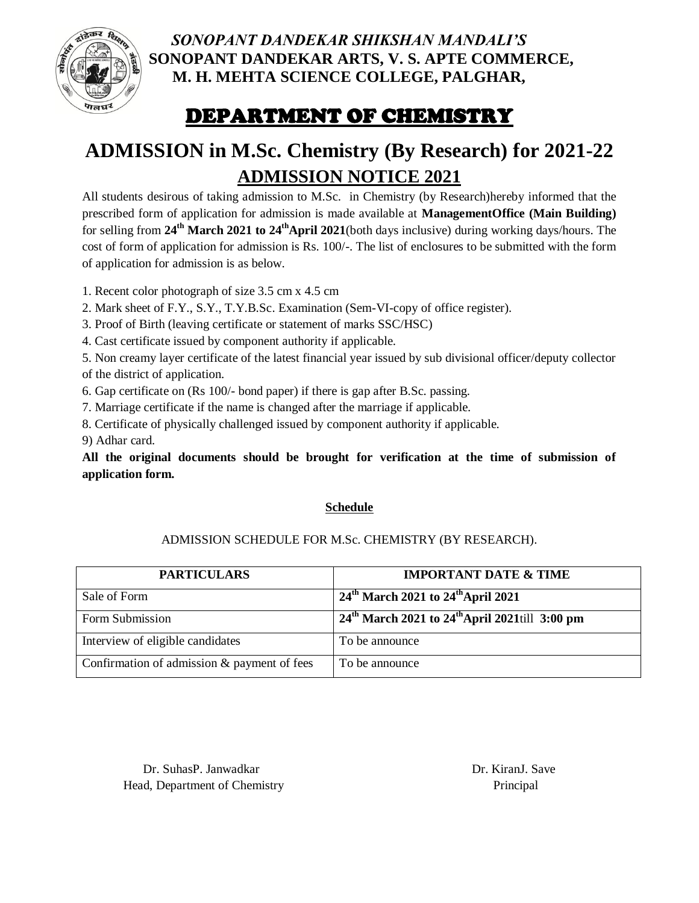

*SONOPANT DANDEKAR SHIKSHAN MANDALI'S*  **SONOPANT DANDEKAR ARTS, V. S. APTE COMMERCE, M. H. MEHTA SCIENCE COLLEGE, PALGHAR,** 

## DEPARTMENT OF CHEMISTRY

# **ADMISSION in M.Sc. Chemistry (By Research) for 2021-22 ADMISSION NOTICE 2021**

All students desirous of taking admission to M.Sc. in Chemistry (by Research)hereby informed that the prescribed form of application for admission is made available at **ManagementOffice (Main Building)** for selling from **24 th March 2021 to 24thApril 2021**(both days inclusive) during working days/hours. The cost of form of application for admission is Rs. 100/-. The list of enclosures to be submitted with the form of application for admission is as below.

- 1. Recent color photograph of size 3.5 cm x 4.5 cm
- 2. Mark sheet of F.Y., S.Y., T.Y.B.Sc. Examination (Sem-VI-copy of office register).
- 3. Proof of Birth (leaving certificate or statement of marks SSC/HSC)
- 4. Cast certificate issued by component authority if applicable.
- 5. Non creamy layer certificate of the latest financial year issued by sub divisional officer/deputy collector of the district of application.
- 6. Gap certificate on (Rs 100/- bond paper) if there is gap after B.Sc. passing.
- 7. Marriage certificate if the name is changed after the marriage if applicable.
- 8. Certificate of physically challenged issued by component authority if applicable.

9) Adhar card.

**All the original documents should be brought for verification at the time of submission of application form.**

#### **Schedule**

#### ADMISSION SCHEDULE FOR M.Sc. CHEMISTRY (BY RESEARCH).

| <b>PARTICULARS</b>                          | <b>IMPORTANT DATE &amp; TIME</b>                   |
|---------------------------------------------|----------------------------------------------------|
| Sale of Form                                | $24th$ March 2021 to $24th$ April 2021             |
| Form Submission                             | $24th$ March 2021 to $24th$ April 2021till 3:00 pm |
| Interview of eligible candidates            | To be announce                                     |
| Confirmation of admission & payment of fees | To be announce                                     |

Dr. SuhasP. Janwadkar Dr. KiranJ. Save Head, Department of Chemistry Principal Principal Principal Principal Principal Principal Principal Principal Principal Principal Principal Principal Principal Principal Principal Principal Principal Principal Principal Pr